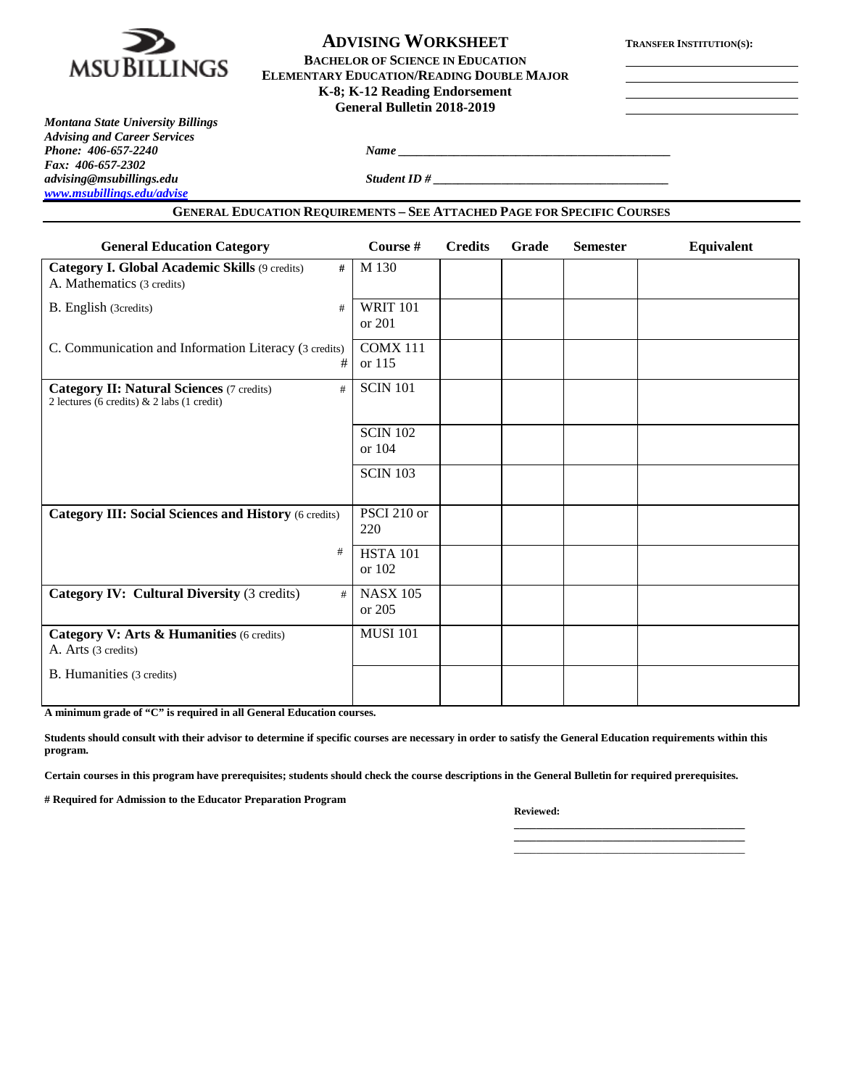

# **ADVISING WORKSHEET TRANSFER INSTITUTION(S):**

**BACHELOR OF SCIENCE IN EDUCATION ELEMENTARY EDUCATION/READING DOUBLE MAJOR K-8; K-12 Reading Endorsement General Bulletin 2018-2019**

*Montana State University Billings Advising and Career Services Fax: 406-657-2302 advising@msubillings.edu Student ID # \_\_\_\_\_\_\_\_\_\_\_\_\_\_\_\_\_\_\_\_\_\_\_\_\_\_\_\_\_\_\_\_\_\_\_\_\_\_ [www.msubillings.edu/advise](http://www.msubillings.edu/advise)*

*Phone <u>2067-2240 <i>Name*</u> <u>2067-2240 *Name* 2067-2240 *Name* 2067-2240 *Name* 2067-2240 *Name* 2067-2240 *Name* 2067-2240 *Name* 2067-2240 *Name* 2067-2240 *Name* 2067-2240 *Name* 2067-2240 *Name* 2</u>

#### **GENERAL EDUCATION REQUIREMENTS – SEE ATTACHED PAGE FOR SPECIFIC COURSES**

| <b>General Education Category</b>                                                                   | Course #                    | <b>Credits</b> | Grade | <b>Semester</b> | Equivalent |
|-----------------------------------------------------------------------------------------------------|-----------------------------|----------------|-------|-----------------|------------|
| Category I. Global Academic Skills (9 credits)<br>#<br>A. Mathematics (3 credits)                   | M 130                       |                |       |                 |            |
| B. English (3credits)<br>#                                                                          | <b>WRIT 101</b><br>or $201$ |                |       |                 |            |
| C. Communication and Information Literacy (3 credits)<br>#                                          | <b>COMX 111</b><br>or 115   |                |       |                 |            |
| <b>Category II: Natural Sciences (7 credits)</b><br>#<br>2 lectures (6 credits) & 2 labs (1 credit) | <b>SCIN 101</b>             |                |       |                 |            |
|                                                                                                     | <b>SCIN 102</b><br>or 104   |                |       |                 |            |
|                                                                                                     | <b>SCIN 103</b>             |                |       |                 |            |
| <b>Category III: Social Sciences and History (6 credits)</b>                                        | PSCI 210 or<br>220          |                |       |                 |            |
| #                                                                                                   | <b>HSTA 101</b><br>or 102   |                |       |                 |            |
| Category IV: Cultural Diversity (3 credits)<br>#                                                    | <b>NASX 105</b><br>or 205   |                |       |                 |            |
| Category V: Arts & Humanities (6 credits)<br>A. Arts (3 credits)                                    | <b>MUSI 101</b>             |                |       |                 |            |
| B. Humanities (3 credits)                                                                           |                             |                |       |                 |            |

**A minimum grade of "C" is required in all General Education courses.** 

**Students should consult with their advisor to determine if specific courses are necessary in order to satisfy the General Education requirements within this program.**

**Certain courses in this program have prerequisites; students should check the course descriptions in the General Bulletin for required prerequisites.**

**# Required for Admission to the Educator Preparation Program**

**Reviewed:** 

**\_\_\_\_\_\_\_\_\_\_\_\_\_\_\_\_\_\_\_\_\_\_\_\_\_\_\_\_\_\_\_\_\_\_\_\_\_\_\_\_\_\_ \_\_\_\_\_\_\_\_\_\_\_\_\_\_\_\_\_\_\_\_\_\_\_\_\_\_\_\_\_\_\_\_\_\_\_\_\_\_\_\_\_\_** \_\_\_\_\_\_\_\_\_\_\_\_\_\_\_\_\_\_\_\_\_\_\_\_\_\_\_\_\_\_\_\_\_\_\_\_\_\_\_\_\_\_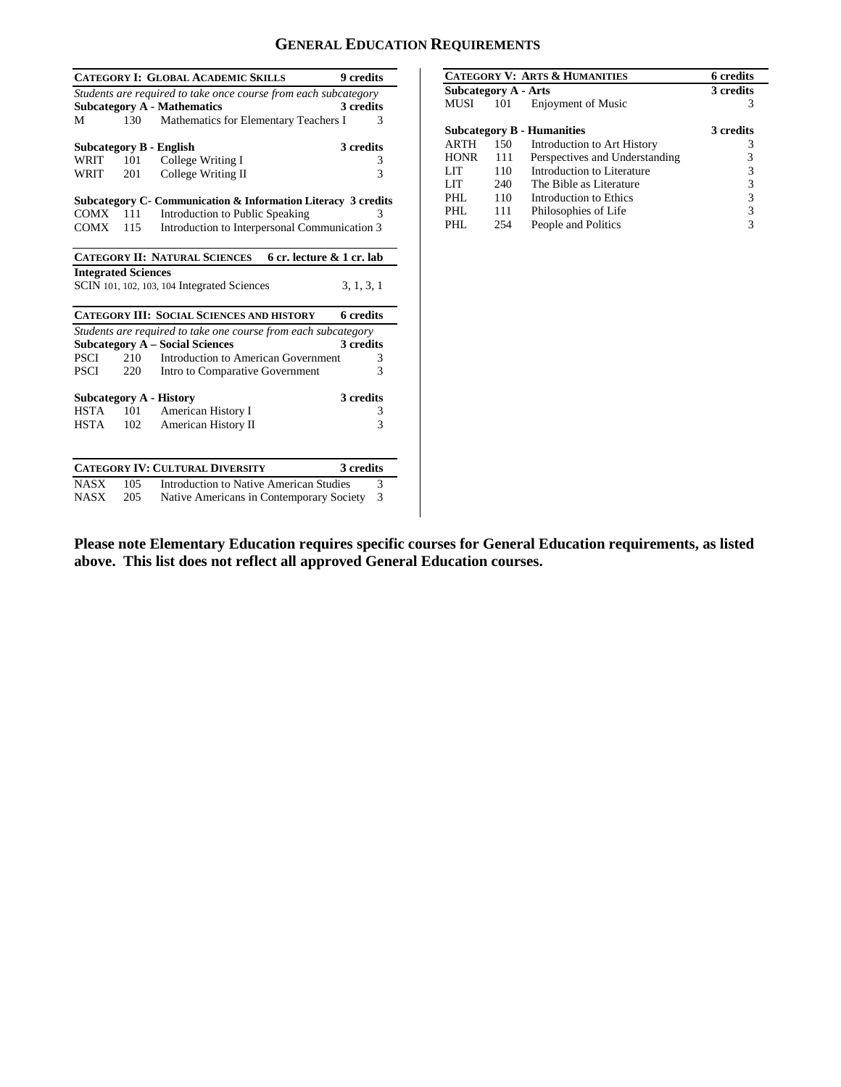## **GENERAL EDUCATION REQUIREMENTS**

|                            |     | <b>CATEGORY I: GLOBAL ACADEMIC SKILLS</b>                       | 9 credits    |
|----------------------------|-----|-----------------------------------------------------------------|--------------|
|                            |     | Students are required to take once course from each subcategory |              |
|                            |     | <b>Subcategory A - Mathematics</b>                              | 3 credits    |
| М                          |     | 130 Mathematics for Elementary Teachers I                       | 3            |
|                            |     |                                                                 |              |
|                            |     | Subcategory B - English                                         | 3 credits    |
| WRIT                       | 101 | College Writing I                                               | 3            |
| WRIT                       | 201 | College Writing II                                              | $\mathbf{3}$ |
|                            |     | Subcategory C- Communication & Information Literacy 3 credits   |              |
| $COMX = 111$               |     | Introduction to Public Speaking                                 | 3            |
| COMX                       | 115 | Introduction to Interpersonal Communication 3                   |              |
|                            |     |                                                                 |              |
|                            |     | CATEGORY II: NATURAL SCIENCES 6 cr. lecture & 1 cr. lab         |              |
| <b>Integrated Sciences</b> |     |                                                                 |              |
|                            |     | SCIN 101, 102, 103, 104 Integrated Sciences                     | 3, 1, 3, 1   |
|                            |     | <b>CATEGORY III: SOCIAL SCIENCES AND HISTORY</b>                | 6 credits    |
|                            |     | Students are required to take one course from each subcategory  |              |
|                            |     | <b>Subcategory A – Social Sciences</b>                          | 3 credits    |
| PSCI                       | 210 | Introduction to American Government                             | 3            |
| PSCI                       | 220 | Intro to Comparative Government                                 | 3            |
|                            |     | Subcategory A - History                                         | 3 credits    |
| <b>HSTA</b>                | 101 | American History I                                              | 3            |
| HSTA                       | 102 | American History II                                             | 3            |
|                            |     |                                                                 |              |
|                            |     | <b>CATEGORY IV: CULTURAL DIVERSITY</b>                          | 3 credits    |
| <b>NASX</b>                | 105 | Introduction to Native American Studies                         | 3            |
| <b>NASX</b>                | 205 | Native Americans in Contemporary Society                        | 3            |

| <b>CATEGORY V: ARTS &amp; HUMANITIES</b> |     |                                   | <b>6</b> credits |
|------------------------------------------|-----|-----------------------------------|------------------|
| Subcategory A - Arts                     |     |                                   | 3 credits        |
| MUSI                                     | 101 | <b>Enjoyment of Music</b>         | 3                |
|                                          |     |                                   |                  |
|                                          |     | <b>Subcategory B - Humanities</b> | 3 credits        |
| <b>ARTH</b>                              | 150 | Introduction to Art History       |                  |
| <b>HONR</b>                              | 111 | Perspectives and Understanding    | 3                |
| LIT                                      | 110 | Introduction to Literature        | 3                |
| LIT                                      | 240 | The Bible as Literature           | 3                |
| PHL                                      | 110 | Introduction to Ethics            | 3                |
| PHL                                      | 111 | Philosophies of Life              | 3                |
| PHI.                                     | 254 | People and Politics               |                  |

**Please note Elementary Education requires specific courses for General Education requirements, as listed above. This list does not reflect all approved General Education courses.**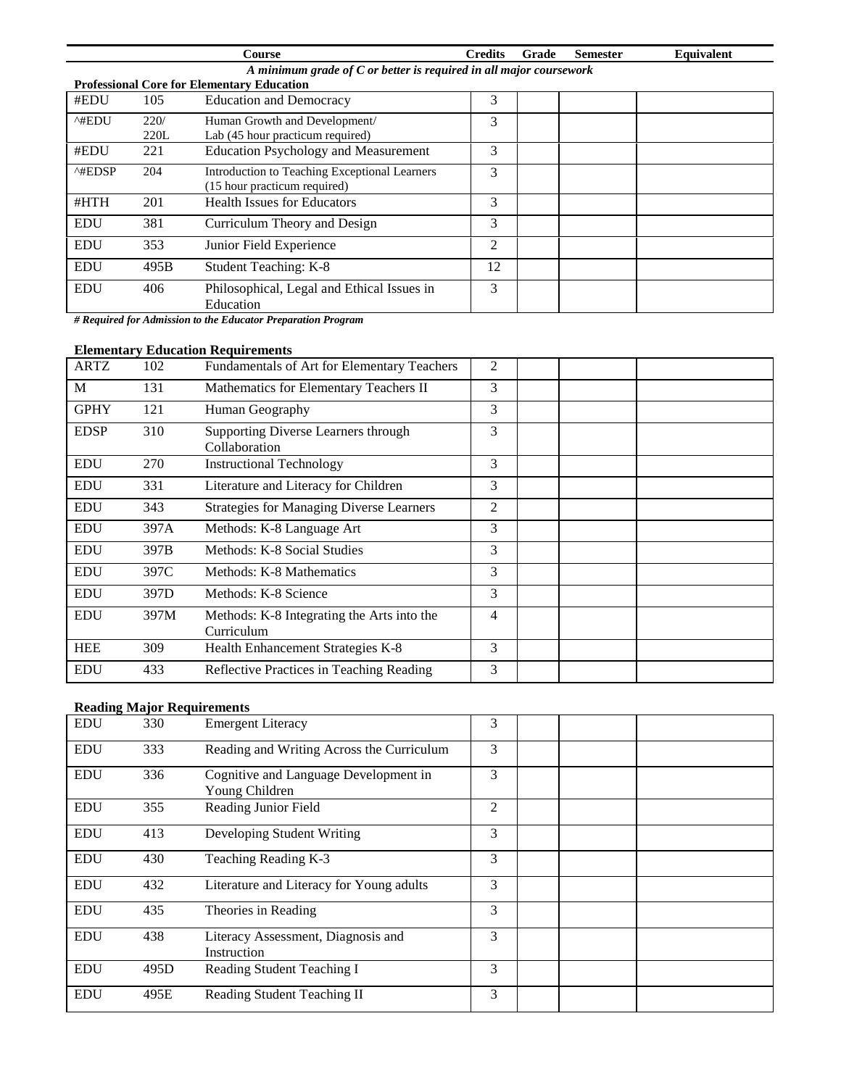|                                                                      |      | Course                                                  | <b>Credits</b> | Grade | <b>Semester</b> | Equivalent |  |
|----------------------------------------------------------------------|------|---------------------------------------------------------|----------------|-------|-----------------|------------|--|
| A minimum grade of $C$ or better is required in all major coursework |      |                                                         |                |       |                 |            |  |
|                                                                      |      | <b>Professional Core for Elementary Education</b>       |                |       |                 |            |  |
| #EDU                                                                 | 105  | <b>Education and Democracy</b>                          | 3              |       |                 |            |  |
| ^#EDU                                                                | 220/ | Human Growth and Development/                           | 3              |       |                 |            |  |
|                                                                      | 220L | Lab (45 hour practicum required)                        |                |       |                 |            |  |
| #EDU                                                                 | 221  | <b>Education Psychology and Measurement</b>             | 3              |       |                 |            |  |
| ^#EDSP                                                               | 204  | Introduction to Teaching Exceptional Learners           | 3              |       |                 |            |  |
|                                                                      |      | (15 hour practicum required)                            |                |       |                 |            |  |
| #HTH                                                                 | 201  | <b>Health Issues for Educators</b>                      | 3              |       |                 |            |  |
| <b>EDU</b>                                                           | 381  | Curriculum Theory and Design                            | 3              |       |                 |            |  |
| <b>EDU</b>                                                           | 353  | Junior Field Experience                                 | 2              |       |                 |            |  |
| <b>EDU</b>                                                           | 495B | Student Teaching: K-8                                   | 12             |       |                 |            |  |
| <b>EDU</b>                                                           | 406  | Philosophical, Legal and Ethical Issues in<br>Education | 3              |       |                 |            |  |

*# Required for Admission to the Educator Preparation Program*

## **Elementary Education Requirements**

| <b>ARTZ</b> | 102  | Fundamentals of Art for Elementary Teachers              | $\overline{2}$ |  |  |
|-------------|------|----------------------------------------------------------|----------------|--|--|
| M           | 131  | Mathematics for Elementary Teachers II                   | 3              |  |  |
| <b>GPHY</b> | 121  | Human Geography                                          | 3              |  |  |
| <b>EDSP</b> | 310  | Supporting Diverse Learners through<br>Collaboration     | 3              |  |  |
| <b>EDU</b>  | 270  | <b>Instructional Technology</b>                          | 3              |  |  |
| <b>EDU</b>  | 331  | Literature and Literacy for Children                     | 3              |  |  |
| <b>EDU</b>  | 343  | <b>Strategies for Managing Diverse Learners</b>          | $\overline{2}$ |  |  |
| <b>EDU</b>  | 397A | Methods: K-8 Language Art                                | 3              |  |  |
| <b>EDU</b>  | 397B | Methods: K-8 Social Studies                              | 3              |  |  |
| <b>EDU</b>  | 397C | Methods: K-8 Mathematics                                 | 3              |  |  |
| <b>EDU</b>  | 397D | Methods: K-8 Science                                     | 3              |  |  |
| <b>EDU</b>  | 397M | Methods: K-8 Integrating the Arts into the<br>Curriculum | 4              |  |  |
| <b>HEE</b>  | 309  | Health Enhancement Strategies K-8                        | 3              |  |  |
| <b>EDU</b>  | 433  | Reflective Practices in Teaching Reading                 | 3              |  |  |

### **Reading Major Requirements**

| <b>EDU</b> | 330  | <b>Emergent Literacy</b>                                | 3 |  |  |
|------------|------|---------------------------------------------------------|---|--|--|
| <b>EDU</b> | 333  | Reading and Writing Across the Curriculum               | 3 |  |  |
| <b>EDU</b> | 336  | Cognitive and Language Development in<br>Young Children | 3 |  |  |
| <b>EDU</b> | 355  | Reading Junior Field                                    | 2 |  |  |
| <b>EDU</b> | 413  | Developing Student Writing                              | 3 |  |  |
| <b>EDU</b> | 430  | Teaching Reading K-3                                    | 3 |  |  |
| <b>EDU</b> | 432  | Literature and Literacy for Young adults                | 3 |  |  |
| <b>EDU</b> | 435  | Theories in Reading                                     | 3 |  |  |
| <b>EDU</b> | 438  | Literacy Assessment, Diagnosis and<br>Instruction       | 3 |  |  |
| <b>EDU</b> | 495D | Reading Student Teaching I                              | 3 |  |  |
| <b>EDU</b> | 495E | Reading Student Teaching II                             | 3 |  |  |